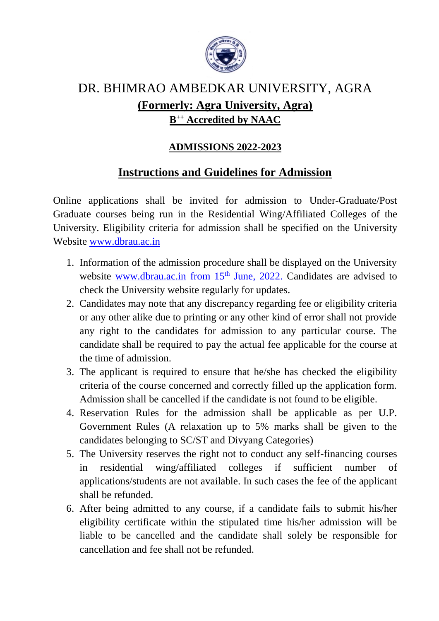

## DR. BHIMRAO AMBEDKAR UNIVERSITY, AGRA **(Formerly: Agra University, Agra) B ++ Accredited by NAAC**

## **ADMISSIONS 2022-2023**

## **Instructions and Guidelines for Admission**

Online applications shall be invited for admission to Under-Graduate/Post Graduate courses being run in the Residential Wing/Affiliated Colleges of the University. Eligibility criteria for admission shall be specified on the University Website [www.dbrau.ac.in](http://www.dbrau.ac.in/)

- 1. Information of the admission procedure shall be displayed on the University website [www.dbrau.ac.in](http://www.dbrau.ac.in/) from 15<sup>th</sup> June, 2022. Candidates are advised to check the University website regularly for updates.
- 2. Candidates may note that any discrepancy regarding fee or eligibility criteria or any other alike due to printing or any other kind of error shall not provide any right to the candidates for admission to any particular course. The candidate shall be required to pay the actual fee applicable for the course at the time of admission.
- 3. The applicant is required to ensure that he/she has checked the eligibility criteria of the course concerned and correctly filled up the application form. Admission shall be cancelled if the candidate is not found to be eligible.
- 4. Reservation Rules for the admission shall be applicable as per U.P. Government Rules (A relaxation up to 5% marks shall be given to the candidates belonging to SC/ST and Divyang Categories)
- 5. The University reserves the right not to conduct any self-financing courses in residential wing/affiliated colleges if sufficient number of applications/students are not available. In such cases the fee of the applicant shall be refunded.
- 6. After being admitted to any course, if a candidate fails to submit his/her eligibility certificate within the stipulated time his/her admission will be liable to be cancelled and the candidate shall solely be responsible for cancellation and fee shall not be refunded.